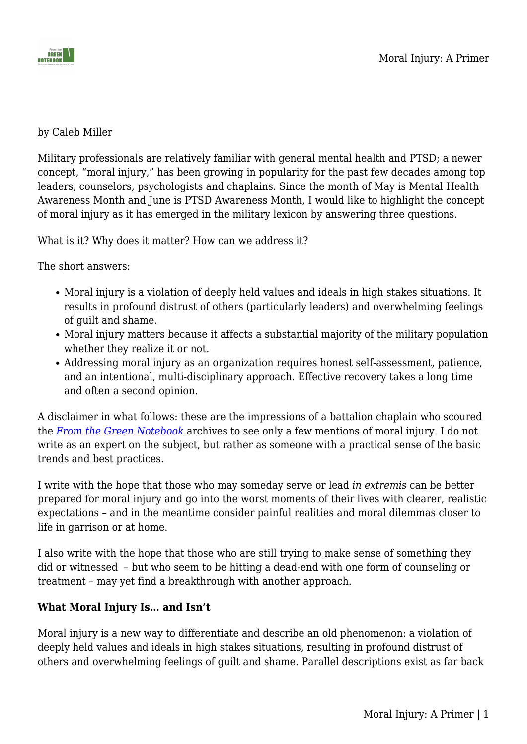

#### by Caleb Miller

Military professionals are relatively familiar with general mental health and PTSD; a newer concept, "moral injury," has been growing in popularity for the past few decades among top leaders, counselors, psychologists and chaplains. Since the month of May is Mental Health Awareness Month and June is PTSD Awareness Month, I would like to highlight the concept of moral injury as it has emerged in the military lexicon by answering three questions.

What is it? Why does it matter? How can we address it?

The short answers:

- Moral injury is a violation of deeply held values and ideals in high stakes situations. It results in profound distrust of others (particularly leaders) and overwhelming feelings of guilt and shame.
- Moral injury matters because it affects a substantial majority of the military population whether they realize it or not.
- Addressing moral injury as an organization requires honest self-assessment, patience, and an intentional, multi-disciplinary approach. Effective recovery takes a long time and often a second opinion.

A disclaimer in what follows: these are the impressions of a battalion chaplain who scoured the *[From the Green Notebook](https://fromthegreennotebook.com/)* archives to see only a few mentions of moral injury. I do not write as an expert on the subject, but rather as someone with a practical sense of the basic trends and best practices.

I write with the hope that those who may someday serve or lead *in extremis* can be better prepared for moral injury and go into the worst moments of their lives with clearer, realistic expectations – and in the meantime consider painful realities and moral dilemmas closer to life in garrison or at home.

I also write with the hope that those who are still trying to make sense of something they did or witnessed – but who seem to be hitting a dead-end with one form of counseling or treatment – may yet find a breakthrough with another approach.

## **What Moral Injury Is… and Isn't**

Moral injury is a new way to differentiate and describe an old phenomenon: a violation of deeply held values and ideals in high stakes situations, resulting in profound distrust of others and overwhelming feelings of guilt and shame. Parallel descriptions exist as far back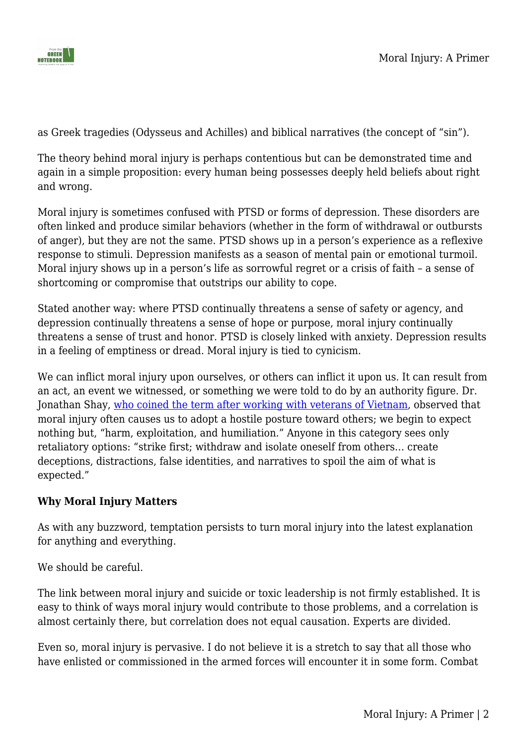

as Greek tragedies (Odysseus and Achilles) and biblical narratives (the concept of "sin").

The theory behind moral injury is perhaps contentious but can be demonstrated time and again in a simple proposition: every human being possesses deeply held beliefs about right and wrong.

Moral injury is sometimes confused with PTSD or forms of depression. These disorders are often linked and produce similar behaviors (whether in the form of withdrawal or outbursts of anger), but they are not the same. PTSD shows up in a person's experience as a reflexive response to stimuli. Depression manifests as a season of mental pain or emotional turmoil. Moral injury shows up in a person's life as sorrowful regret or a crisis of faith – a sense of shortcoming or compromise that outstrips our ability to cope.

Stated another way: where PTSD continually threatens a sense of safety or agency, and depression continually threatens a sense of hope or purpose, moral injury continually threatens a sense of trust and honor. PTSD is closely linked with anxiety. Depression results in a feeling of emptiness or dread. Moral injury is tied to cynicism.

We can inflict moral injury upon ourselves, or others can inflict it upon us. It can result from an act, an event we witnessed, or something we were told to do by an authority figure. Dr. Jonathan Shay, [who coined the term after working with veterans of Vietnam,](https://psycnet.apa.org/record/2014-14055-003) observed that moral injury often causes us to adopt a hostile posture toward others; we begin to expect nothing but, "harm, exploitation, and humiliation." Anyone in this category sees only retaliatory options: "strike first; withdraw and isolate oneself from others… create deceptions, distractions, false identities, and narratives to spoil the aim of what is expected."

## **Why Moral Injury Matters**

As with any buzzword, temptation persists to turn moral injury into the latest explanation for anything and everything.

We should be careful.

The link between moral injury and suicide or toxic leadership is not firmly established. It is easy to think of ways moral injury would contribute to those problems, and a correlation is almost certainly there, but correlation does not equal causation. Experts are divided.

Even so, moral injury is pervasive. I do not believe it is a stretch to say that all those who have enlisted or commissioned in the armed forces will encounter it in some form. Combat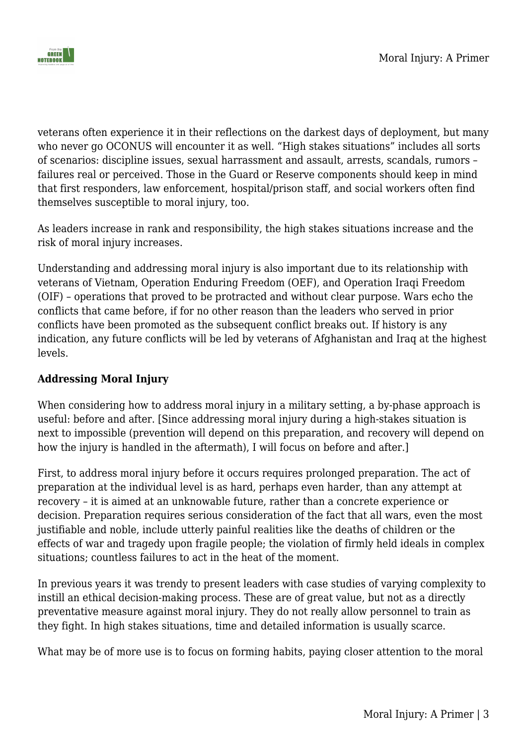



veterans often experience it in their reflections on the darkest days of deployment, but many who never go OCONUS will encounter it as well. "High stakes situations" includes all sorts of scenarios: discipline issues, sexual harrassment and assault, arrests, scandals, rumors – failures real or perceived. Those in the Guard or Reserve components should keep in mind that first responders, law enforcement, hospital/prison staff, and social workers often find themselves susceptible to moral injury, too.

As leaders increase in rank and responsibility, the high stakes situations increase and the risk of moral injury increases.

Understanding and addressing moral injury is also important due to its relationship with veterans of Vietnam, Operation Enduring Freedom (OEF), and Operation Iraqi Freedom (OIF) – operations that proved to be protracted and without clear purpose. Wars echo the conflicts that came before, if for no other reason than the leaders who served in prior conflicts have been promoted as the subsequent conflict breaks out. If history is any indication, any future conflicts will be led by veterans of Afghanistan and Iraq at the highest levels.

### **Addressing Moral Injury**

When considering how to address moral injury in a military setting, a by-phase approach is useful: before and after. [Since addressing moral injury during a high-stakes situation is next to impossible (prevention will depend on this preparation, and recovery will depend on how the injury is handled in the aftermath), I will focus on before and after.]

First, to address moral injury before it occurs requires prolonged preparation. The act of preparation at the individual level is as hard, perhaps even harder, than any attempt at recovery – it is aimed at an unknowable future, rather than a concrete experience or decision. Preparation requires serious consideration of the fact that all wars, even the most justifiable and noble, include utterly painful realities like the deaths of children or the effects of war and tragedy upon fragile people; the violation of firmly held ideals in complex situations; countless failures to act in the heat of the moment.

In previous years it was trendy to present leaders with case studies of varying complexity to instill an ethical decision-making process. These are of great value, but not as a directly preventative measure against moral injury. They do not really allow personnel to train as they fight. In high stakes situations, time and detailed information is usually scarce.

What may be of more use is to focus on forming habits, paying closer attention to the moral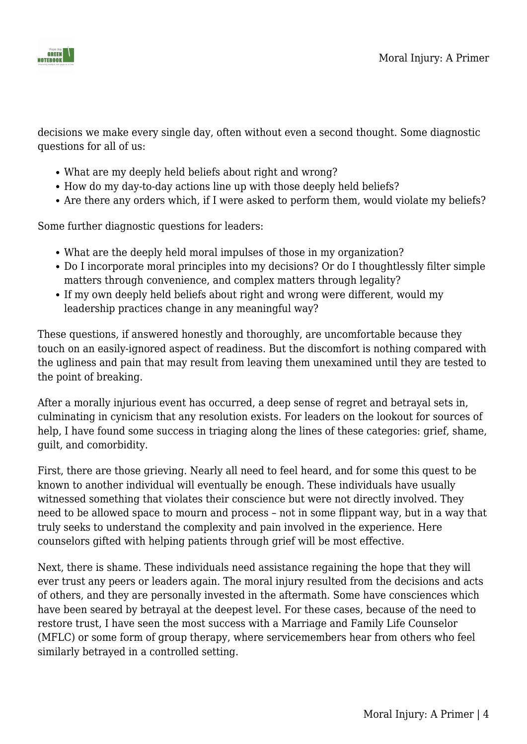

decisions we make every single day, often without even a second thought. Some diagnostic questions for all of us:

- What are my deeply held beliefs about right and wrong?
- How do my day-to-day actions line up with those deeply held beliefs?
- Are there any orders which, if I were asked to perform them, would violate my beliefs?

Some further diagnostic questions for leaders:

- What are the deeply held moral impulses of those in my organization?
- Do I incorporate moral principles into my decisions? Or do I thoughtlessly filter simple matters through convenience, and complex matters through legality?
- If my own deeply held beliefs about right and wrong were different, would my leadership practices change in any meaningful way?

These questions, if answered honestly and thoroughly, are uncomfortable because they touch on an easily-ignored aspect of readiness. But the discomfort is nothing compared with the ugliness and pain that may result from leaving them unexamined until they are tested to the point of breaking.

After a morally injurious event has occurred, a deep sense of regret and betrayal sets in, culminating in cynicism that any resolution exists. For leaders on the lookout for sources of help. I have found some success in triaging along the lines of these categories: grief, shame, guilt, and comorbidity.

First, there are those grieving. Nearly all need to feel heard, and for some this quest to be known to another individual will eventually be enough. These individuals have usually witnessed something that violates their conscience but were not directly involved. They need to be allowed space to mourn and process – not in some flippant way, but in a way that truly seeks to understand the complexity and pain involved in the experience. Here counselors gifted with helping patients through grief will be most effective.

Next, there is shame. These individuals need assistance regaining the hope that they will ever trust any peers or leaders again. The moral injury resulted from the decisions and acts of others, and they are personally invested in the aftermath. Some have consciences which have been seared by betrayal at the deepest level. For these cases, because of the need to restore trust, I have seen the most success with a Marriage and Family Life Counselor (MFLC) or some form of group therapy, where servicemembers hear from others who feel similarly betrayed in a controlled setting.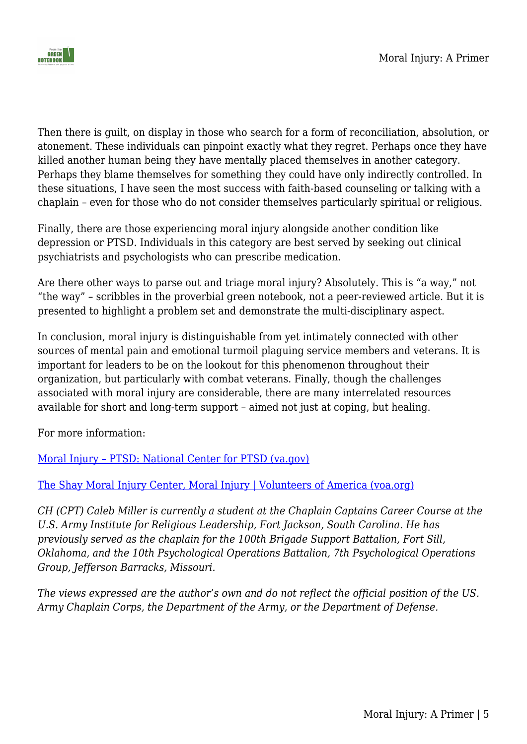

Then there is guilt, on display in those who search for a form of reconciliation, absolution, or atonement. These individuals can pinpoint exactly what they regret. Perhaps once they have killed another human being they have mentally placed themselves in another category. Perhaps they blame themselves for something they could have only indirectly controlled. In these situations, I have seen the most success with faith-based counseling or talking with a chaplain – even for those who do not consider themselves particularly spiritual or religious.

Finally, there are those experiencing moral injury alongside another condition like depression or PTSD. Individuals in this category are best served by seeking out clinical psychiatrists and psychologists who can prescribe medication.

Are there other ways to parse out and triage moral injury? Absolutely. This is "a way," not "the way" – scribbles in the proverbial green notebook, not a peer-reviewed article. But it is presented to highlight a problem set and demonstrate the multi-disciplinary aspect.

In conclusion, moral injury is distinguishable from yet intimately connected with other sources of mental pain and emotional turmoil plaguing service members and veterans. It is important for leaders to be on the lookout for this phenomenon throughout their organization, but particularly with combat veterans. Finally, though the challenges associated with moral injury are considerable, there are many interrelated resources available for short and long-term support – aimed not just at coping, but healing.

For more information:

[Moral Injury – PTSD: National Center for PTSD \(va.gov\)](https://www.ptsd.va.gov/professional/treat/cooccurring/moral_injury.asp)

### [The Shay Moral Injury Center, Moral Injury | Volunteers of America \(voa.org\)](https://www.voa.org/moral-injury-war-inside#:~:text=What%20is%20Moral%20Injury%3F,that%20was%20done%20to%20us.)

*CH (CPT) Caleb Miller is currently a student at the Chaplain Captains Career Course at the U.S. Army Institute for Religious Leadership, Fort Jackson, South Carolina. He has previously served as the chaplain for the 100th Brigade Support Battalion, Fort Sill, Oklahoma, and the 10th Psychological Operations Battalion, 7th Psychological Operations Group, Jefferson Barracks, Missouri.* 

*The views expressed are the author's own and do not reflect the official position of the US. Army Chaplain Corps, the Department of the Army, or the Department of Defense.*